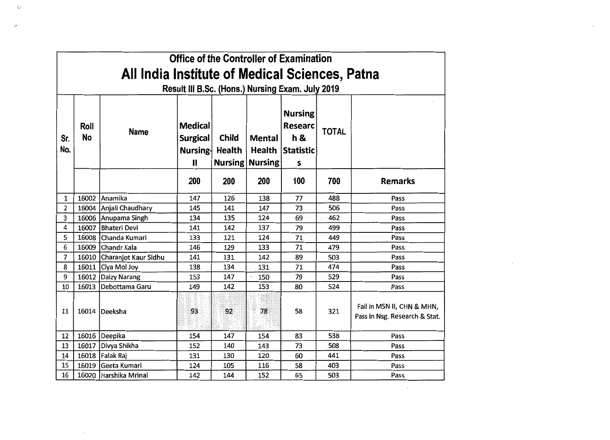| Office of the Controller of Examination          |            |                      |                                                               |                        |                                         |                                                                                   |              |                                                             |  |  |
|--------------------------------------------------|------------|----------------------|---------------------------------------------------------------|------------------------|-----------------------------------------|-----------------------------------------------------------------------------------|--------------|-------------------------------------------------------------|--|--|
| All India Institute of Medical Sciences, Patna   |            |                      |                                                               |                        |                                         |                                                                                   |              |                                                             |  |  |
| Result III B.Sc. (Hons.) Nursing Exam. July 2019 |            |                      |                                                               |                        |                                         |                                                                                   |              |                                                             |  |  |
| Sr.<br>No.                                       | Roll<br>No | <b>Name</b>          | <b>Medical</b><br><b>Surgical</b><br>Nursing-<br>$\mathbf{I}$ | <b>Child</b><br>Health | <b>Mental</b><br><b>Nursing Nursing</b> | <b>Nursing</b><br><b>Researc</b><br><b>h&amp;</b><br><b>Health Statistic</b><br>S | <b>TOTAL</b> |                                                             |  |  |
|                                                  |            |                      | 200                                                           | 200                    | 200                                     | 100                                                                               | 700          | <b>Remarks</b>                                              |  |  |
| $\mathbf{1}$                                     | 16002      | Anamika              | 147                                                           | 126                    | 138                                     | 77                                                                                | 488          | Pass                                                        |  |  |
| 2                                                | 16004      | Anjali Chaudhary     | 145                                                           | 141                    | 147                                     | 73                                                                                | 506          | Pass                                                        |  |  |
| 3                                                |            | 16006 Anupama Singh  | 134                                                           | 135                    | 124                                     | 69                                                                                | 462          | Pass                                                        |  |  |
| 4                                                | 16007      | <b>Bhateri Devi</b>  | 141                                                           | 142                    | 137                                     | 79                                                                                | 499          | Pass                                                        |  |  |
| 5                                                | 16008      | Chanda Kumari        | 133                                                           | 121                    | 124                                     | 71                                                                                | 449          | Pass                                                        |  |  |
| 6                                                | 16009      | Chandr Kala          | 146                                                           | 129                    | 133                                     | 71                                                                                | 479          | Pass                                                        |  |  |
| $\overline{7}$                                   | 16010      | Charanjot Kaur Sidhu | 141                                                           | 131                    | 142                                     | 89                                                                                | 503          | Pass                                                        |  |  |
| 8                                                |            | 16011 Ciya Mol Joy   | 138                                                           | 134                    | 131                                     | 71                                                                                | 474          | Pass                                                        |  |  |
| 9                                                | 16012      | <b>Daizy Narang</b>  | 153                                                           | 147                    | 150                                     | 79                                                                                | 529          | Pass                                                        |  |  |
| 10                                               | 16013      | Debottama Garu       | 149                                                           | 142                    | 153                                     | 80                                                                                | 524          | Pass                                                        |  |  |
| 11                                               |            | 16014 Deeksha        | 93                                                            | 92                     | 78                                      | 58                                                                                | 321          | Fail in MSN II, CHN & MHN,<br>Pass in Nsg. Research & Stat. |  |  |
| 12                                               |            | 16016 Deepika        | 154                                                           | 147                    | 154                                     | 83                                                                                | 538          | Pass                                                        |  |  |
| 13                                               | 16017      | Divya Shikha         | 152                                                           | 140                    | 143                                     | 73                                                                                | 508          | Pass                                                        |  |  |
| 14                                               | 16018      | Falak Raj            | 131                                                           | 130                    | 120                                     | 60                                                                                | 441          | Pass                                                        |  |  |
| 15                                               | 16019      | Geeta Kumari         | 124                                                           | 105                    | 116                                     | 58                                                                                | 403          | Pass                                                        |  |  |
| 16                                               | 16020      | Harshika Mrinal      | 142                                                           | 144                    | 152                                     | 65                                                                                | 503          | Pass                                                        |  |  |

 $\label{eq:2} \mathcal{L}^{\text{max}}_{\text{max}} = \mathcal{L}^{\text{max}}_{\text{max}} \left( \mathcal{L}^{\text{max}}_{\text{max}} \right)$ 

 $\epsilon$ 

 $\sim 100$ 

 $\sim 100$ 

 $\sim$ 

 $\checkmark$   $\bar\prime$ 

,.

 $\mathcal{L}^{\mathcal{L}}$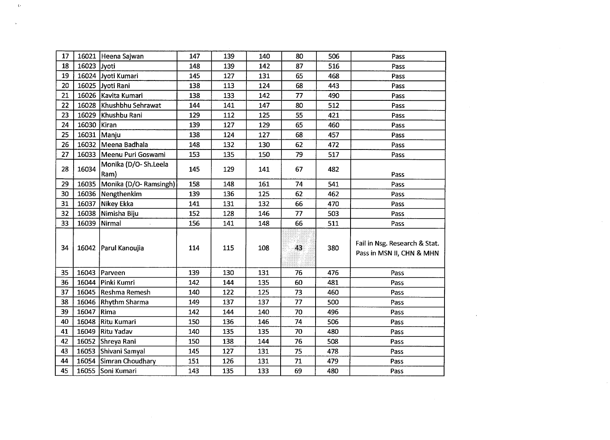| 17 | 16021       | Heena Sajwan                 | 147 | 139 | 140 | 80 | 506 | Pass                                                       |  |
|----|-------------|------------------------------|-----|-----|-----|----|-----|------------------------------------------------------------|--|
| 18 | 16023 Jyoti |                              | 148 | 139 | 142 | 87 | 516 | Pass                                                       |  |
| 19 |             | 16024 Jyoti Kumari           | 145 | 127 | 131 | 65 | 468 | Pass                                                       |  |
| 20 |             | 16025 Jyoti Rani             | 138 | 113 | 124 | 68 | 443 | Pass                                                       |  |
| 21 | 16026       | Kavita Kumari                | 138 | 133 | 142 | 77 | 490 | Pass                                                       |  |
| 22 | 16028       | Khushbhu Sehrawat            | 144 | 141 | 147 | 80 | 512 | Pass                                                       |  |
| 23 | 16029       | Khushbu Rani                 | 129 | 112 | 125 | 55 | 421 | Pass                                                       |  |
| 24 | 16030 Kiran |                              | 139 | 127 | 129 | 65 | 460 | Pass                                                       |  |
| 25 | 16031       | Manju                        | 138 | 124 | 127 | 68 | 457 | Pass                                                       |  |
| 26 | 16032       | Meena Badhala                | 148 | 132 | 130 | 62 | 472 | Pass                                                       |  |
| 27 |             | 16033 Meenu Puri Goswami     | 153 | 135 | 150 | 79 | 517 | Pass                                                       |  |
| 28 | 16034       | Monika (D/O-Sh.Leela<br>Ram) | 145 | 129 | 141 | 67 | 482 | Pass                                                       |  |
| 29 | 16035       | Monika (D/O-Ramsingh)        | 158 | 148 | 161 | 74 | 541 | Pass                                                       |  |
| 30 |             | 16036 Nengthenkim            | 139 | 136 | 125 | 62 | 462 | Pass                                                       |  |
| 31 | 16037       | Nikey Ekka                   | 141 | 131 | 132 | 66 | 470 | Pass                                                       |  |
| 32 | 16038       | Nimisha Biju                 | 152 | 128 | 146 | 77 | 503 | Pass                                                       |  |
| 33 | 16039       | Nirmal                       | 156 | 141 | 148 | 66 | 511 | Pass                                                       |  |
| 34 |             | 16042 Parul Kanoujia         | 114 | 115 | 108 | 43 | 380 | Fail in Nsg. Research & Stat.<br>Pass in MSN II, CHN & MHN |  |
| 35 | 16043       | Parveen                      | 139 | 130 | 131 | 76 | 476 | Pass                                                       |  |
| 36 | 16044       | Pinki Kumri                  | 142 | 144 | 135 | 60 | 481 | Pass                                                       |  |
| 37 | 16045       | Reshma Remesh                | 140 | 122 | 125 | 73 | 460 | Pass                                                       |  |
| 38 |             | 16046 Rhythm Sharma          | 149 | 137 | 137 | 77 | 500 | Pass                                                       |  |
| 39 | 16047       | Rima                         | 142 | 144 | 140 | 70 | 496 | Pass                                                       |  |
| 40 | 16048       | <b>Ritu Kumari</b>           | 150 | 136 | 146 | 74 | 506 | Pass                                                       |  |
| 41 | 16049       | Ritu Yadav                   | 140 | 135 | 135 | 70 | 480 | Pass                                                       |  |
| 42 |             | 16052 Shreya Rani            | 150 | 138 | 144 | 76 | 508 | Pass                                                       |  |
| 43 | 16053       | Shivani Samyal               | 145 | 127 | 131 | 75 | 478 | Pass                                                       |  |
| 44 | 16054       | Simran Choudhary             | 151 | 126 | 131 | 71 | 479 | Pass                                                       |  |
| 45 |             | 16055 Soni Kumari            | 143 | 135 | 133 | 69 | 480 | Pass                                                       |  |

"

 $\Delta$